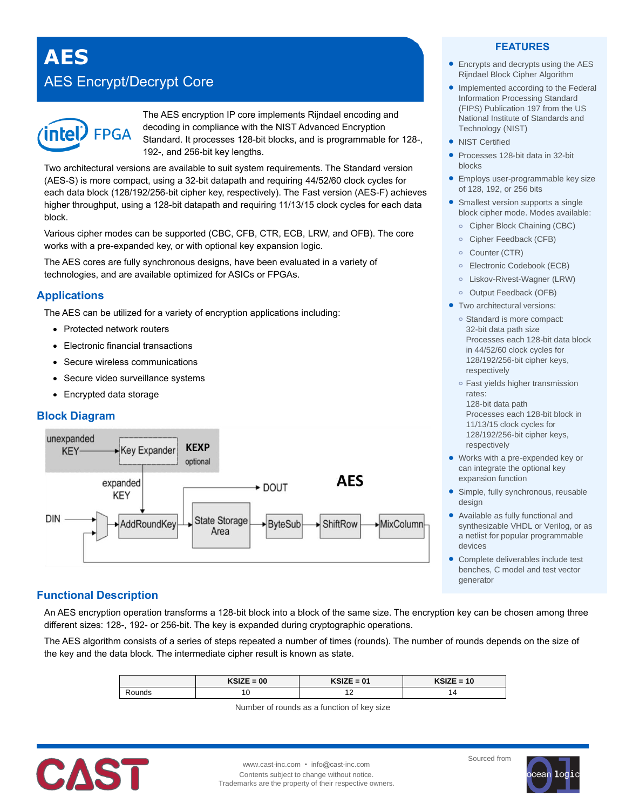**AES**

# AES Encrypt/Decrypt Core



The AES encryption IP core implements Rijndael encoding and decoding in compliance with the NIST Advanced Encryption Standard. It processes 128-bit blocks, and is programmable for 128-, 192-, and 256-bit key lengths.

Two architectural versions are available to suit system requirements. The Standard version (AES-S) is more compact, using a 32-bit datapath and requiring 44/52/60 clock cycles for each data block (128/192/256-bit cipher key, respectively). The Fast version (AES-F) achieves higher throughput, using a 128-bit datapath and requiring 11/13/15 clock cycles for each data block.

Various cipher modes can be supported (CBC, CFB, CTR, ECB, LRW, and OFB). The core works with a pre-expanded key, or with optional key expansion logic.

The AES cores are fully synchronous designs, have been evaluated in a variety of technologies, and are available optimized for ASICs or FPGAs.

# **Applications**

The AES can be utilized for a variety of encryption applications including:

- Protected network routers
- Electronic financial transactions
- Secure wireless communications
- Secure video surveillance systems
- Encrypted data storage

# **Block Diagram**



### **FEATURES**

- Encrypts and decrypts using the AES Rijndael Block Cipher Algorithm
- Implemented according to the Federal Information Processing Standard (FIPS) Publication 197 from the US National Institute of Standards and Technology (NIST)
- NIST Certified
- Processes 128-bit data in 32-bit blocks
- **Employs user-programmable key size** of 128, 192, or 256 bits
- Smallest version supports a single block cipher mode. Modes available:
	- **o** Cipher Block Chaining (CBC)
	- **o** Cipher Feedback (CFB)
	- **o** Counter (CTR)
	- **o** Electronic Codebook (ECB)
	- **o** Liskov-Rivest-Wagner (LRW)
	- **o** Output Feedback (OFB)
- **•** Two architectural versions:
	- **o** Standard is more compact: 32-bit data path size Processes each 128-bit data block in 44/52/60 clock cycles for 128/192/256-bit cipher keys, respectively
	- **o** Fast yields higher transmission rates:
	- 128-bit data path Processes each 128-bit block in 11/13/15 clock cycles for 128/192/256-bit cipher keys, respectively
- Works with a pre-expended key or can integrate the optional key expansion function
- Simple, fully synchronous, reusable design
- Available as fully functional and synthesizable VHDL or Verilog, or as a netlist for popular programmable devices
- Complete deliverables include test benches, C model and test vector generator

# **Functional Description**

An AES encryption operation transforms a 128-bit block into a block of the same size. The encryption key can be chosen among three different sizes: 128-, 192- or 256-bit. The key is expanded during cryptographic operations.

The AES algorithm consists of a series of steps repeated a number of times (rounds). The number of rounds depends on the size of the key and the data block. The intermediate cipher result is known as state.

|               | $KSIZE = 00$ | $KSIZE = 01$<br>- 11.314 | ∠E = 10 ′<br>ndiz |
|---------------|--------------|--------------------------|-------------------|
| <b>⊰ounds</b> | v            | $\epsilon$<br>. .        |                   |

Number of rounds as a function of key size